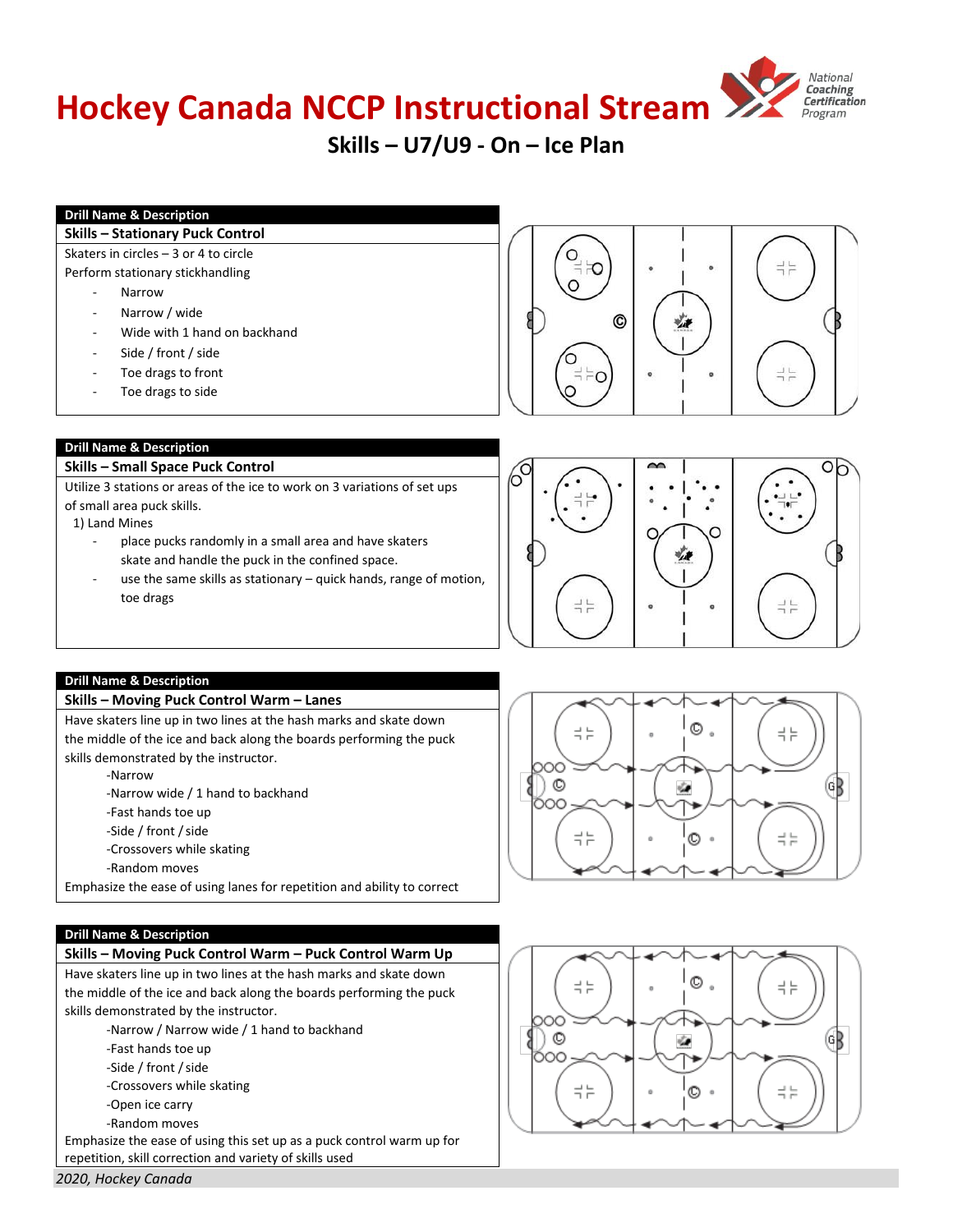# **Hockey Canada NCCP Instructional Stream**



# **Skills – U7/U9 - On – Ice Plan**

# **Drill Name & Description**

#### **Skills – Stationary Puck Control**

Skaters in circles – 3 or 4 to circle Perform stationary stickhandling

- **Narrow**
- Narrow / wide
- Wide with 1 hand on backhand
- Side / front / side
- Toe drags to front
- Toe drags to side





# **Drill Name & Description**

#### **Skills – Small Space Puck Control**

Utilize 3 stations or areas of the ice to work on 3 variations of set ups of small area puck skills.

1) Land Mines

- place pucks randomly in a small area and have skaters skate and handle the puck in the confined space.
- use the same skills as stationary  $-$  quick hands, range of motion, toe drags



#### **Drill Name & Description**

#### **Skills – Moving Puck Control Warm – Lanes**

Have skaters line up in two lines at the hash marks and skate down the middle of the ice and back along the boards performing the puck skills demonstrated by the instructor.

‐Narrow

- ‐Narrow wide / 1 hand to backhand
- ‐Fast hands toe up
- -Side / front / side
- ‐Crossovers while skating
- ‐Random moves

Emphasize the ease of using lanes for repetition and ability to correct

#### **Drill Name & Description**

# **Skills – Moving Puck Control Warm – Puck Control Warm Up**

Have skaters line up in two lines at the hash marks and skate down the middle of the ice and back along the boards performing the puck skills demonstrated by the instructor.

‐Narrow / Narrow wide / 1 hand to backhand

- ‐Fast hands toe up
- -Side / front / side
- ‐Crossovers while skating
- ‐Open ice carry
- ‐Random moves

Emphasize the ease of using this set up as a puck control warm up for repetition, skill correction and variety of skills used





**HockeyCanada.ca**

*2020, Hockey Canada*